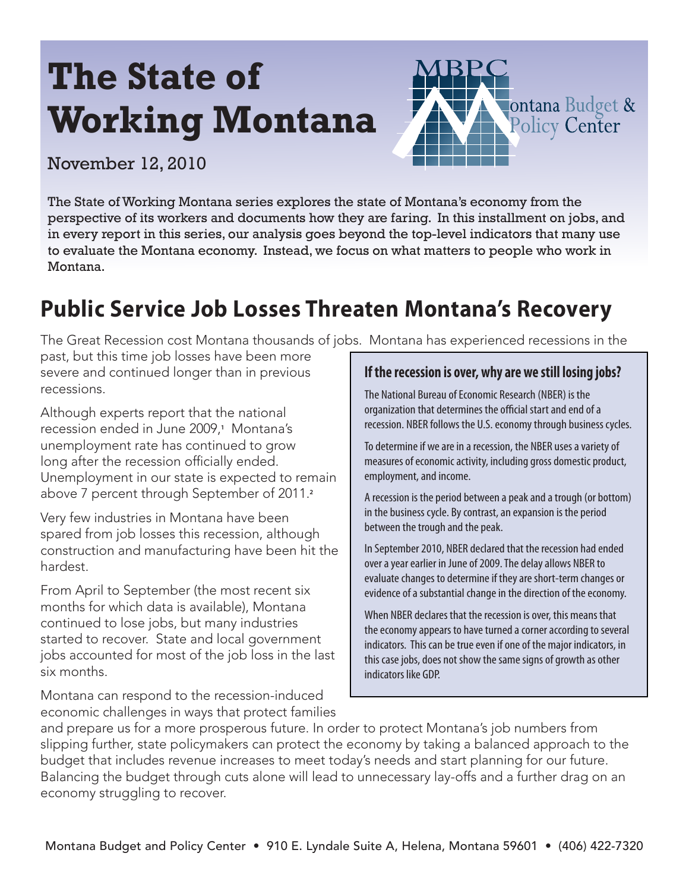# **The State of Working Montana**



November 12, 2010

The State of Working Montana series explores the state of Montana's economy from the perspective of its workers and documents how they are faring. In this installment on jobs, and in every report in this series, our analysis goes beyond the top-level indicators that many use to evaluate the Montana economy. Instead, we focus on what matters to people who work in Montana.

## **Public Service Job Losses Threaten Montana's Recovery**

The Great Recession cost Montana thousands of jobs. Montana has experienced recessions in the

past, but this time job losses have been more severe and continued longer than in previous recessions.

Although experts report that the national recession ended in June 2009,**<sup>1</sup>** Montana's unemployment rate has continued to grow long after the recession officially ended. Unemployment in our state is expected to remain above 7 percent through September of 2011.**<sup>2</sup>**

Very few industries in Montana have been spared from job losses this recession, although construction and manufacturing have been hit the hardest.

From April to September (the most recent six months for which data is available), Montana continued to lose jobs, but many industries started to recover. State and local government jobs accounted for most of the job loss in the last six months.

Montana can respond to the recession-induced economic challenges in ways that protect families

### **If the recession is over, why are we still losing jobs?**

The National Bureau of Economic Research (NBER) is the organization that determines the official start and end of a recession. NBER follows the U.S. economy through business cycles.

To determine if we are in a recession, the NBER uses a variety of measures of economic activity, including gross domestic product, employment, and income.

A recession is the period between a peak and a trough (or bottom) in the business cycle. By contrast, an expansion is the period between the trough and the peak.

In September 2010, NBER declared that the recession had ended over a year earlier in June of 2009. The delay allows NBER to evaluate changes to determine if they are short-term changes or evidence of a substantial change in the direction of the economy.

When NBER declares that the recession is over, this means that the economy appears to have turned a corner according to several indicators. This can be true even if one of the major indicators, in this case jobs, does not show the same signs of growth as other indicators like GDP.

and prepare us for a more prosperous future. In order to protect Montana's job numbers from slipping further, state policymakers can protect the economy by taking a balanced approach to the budget that includes revenue increases to meet today's needs and start planning for our future. Balancing the budget through cuts alone will lead to unnecessary lay-offs and a further drag on an economy struggling to recover.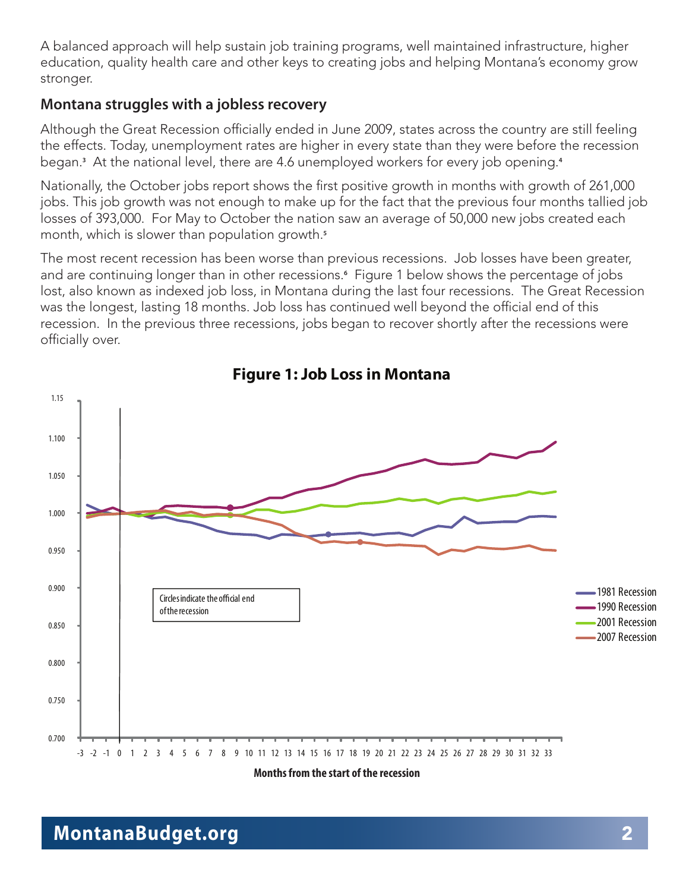A balanced approach will help sustain job training programs, well maintained infrastructure, higher education, quality health care and other keys to creating jobs and helping Montana's economy grow stronger.

#### **Montana struggles with a jobless recovery**

Although the Great Recession officially ended in June 2009, states across the country are still feeling the effects. Today, unemployment rates are higher in every state than they were before the recession began.**<sup>3</sup>** At the national level, there are 4.6 unemployed workers for every job opening.**<sup>4</sup>**

Nationally, the October jobs report shows the first positive growth in months with growth of 261,000 jobs. This job growth was not enough to make up for the fact that the previous four months tallied job losses of 393,000. For May to October the nation saw an average of 50,000 new jobs created each month, which is slower than population growth.**<sup>5</sup>**

The most recent recession has been worse than previous recessions. Job losses have been greater, and are continuing longer than in other recessions.**<sup>6</sup>** Figure 1 below shows the percentage of jobs lost, also known as indexed job loss, in Montana during the last four recessions. The Great Recession was the longest, lasting 18 months. Job loss has continued well beyond the official end of this recession. In the previous three recessions, jobs began to recover shortly after the recessions were officially over.



**Figure 1: Job Loss in Montana**

**Months from the start of the recession**

**MontanaBudget.org** 2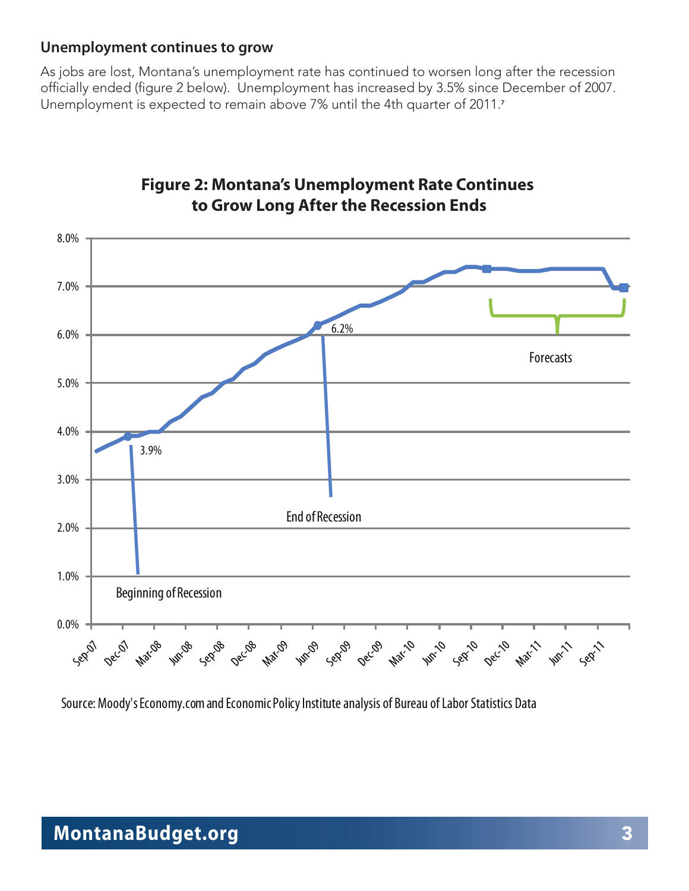#### **Unemployment continues to grow**

As jobs are lost, Montana's unemployment rate has continued to worsen long after the recession officially ended (figure 2 below). Unemployment has increased by 3.5% since December of 2007. Unemployment is expected to remain above 7% until the 4th quarter of 2011.**<sup>7</sup>**



### **Figure 2: Montana's Unemployment Rate Continues to Grow Long After the Recession Ends**

Source: Moody's Economy.com and Economic Policy Institute analysis of Bureau of Labor Statistics Data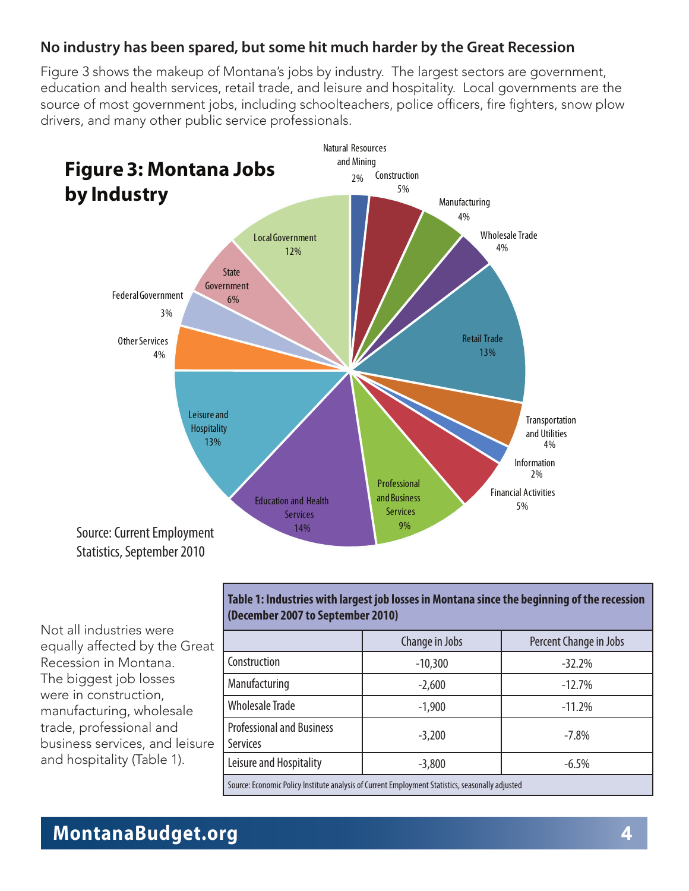### **No industry has been spared, but some hit much harder by the Great Recession**

Figure 3 shows the makeup of Montana's jobs by industry. The largest sectors are government, education and health services, retail trade, and leisure and hospitality. Local governments are the source of most government jobs, including schoolteachers, police officers, fire fighters, snow plow drivers, and many other public service professionals.



Not all industries were equally affected by the Great Recession in Montana. The biggest job losses were in construction, manufacturing, wholesale trade, professional and business services, and leisure and hospitality (Table 1).

#### **Table 1: Industries with largest job losses in Montana since the beginning of the recession (December 2007 to September 2010)**

|                                                     | Change in Jobs                                                                                   | Percent Change in Jobs |  |
|-----------------------------------------------------|--------------------------------------------------------------------------------------------------|------------------------|--|
| Construction                                        | $-10,300$                                                                                        | $-32.2%$               |  |
| Manufacturing                                       | $-2,600$                                                                                         | $-12.7%$               |  |
| <b>Wholesale Trade</b>                              | $-1,900$                                                                                         | $-11.2%$               |  |
| <b>Professional and Business</b><br><b>Services</b> | $-3,200$                                                                                         | $-7.8\%$               |  |
| Leisure and Hospitality                             | $-3,800$                                                                                         | $-6.5%$                |  |
|                                                     | Source: Economic Policy Institute analysis of Current Employment Statistics, seasonally adjusted |                        |  |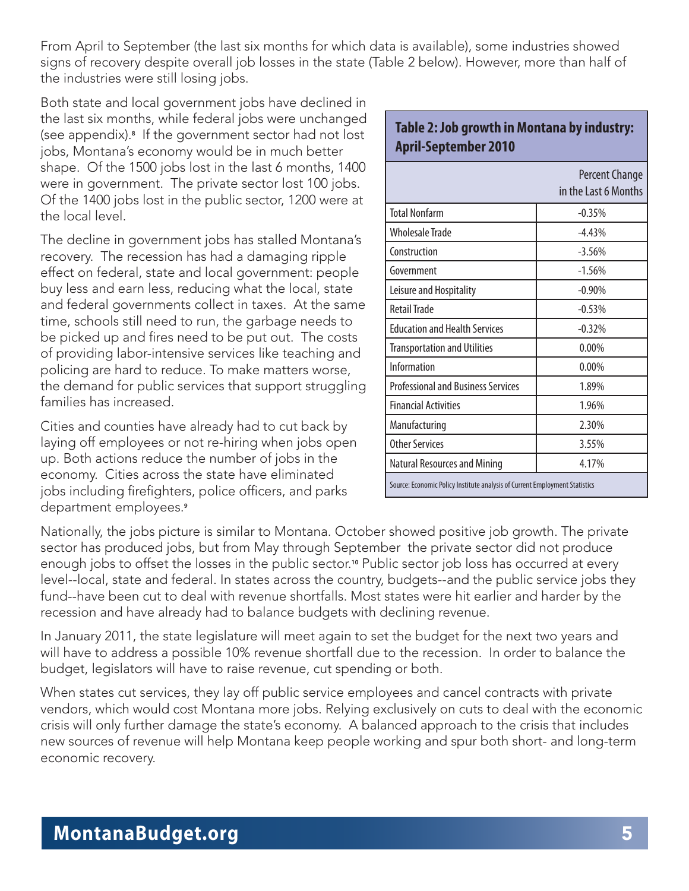From April to September (the last six months for which data is available), some industries showed signs of recovery despite overall job losses in the state (Table 2 below). However, more than half of the industries were still losing jobs.

Both state and local government jobs have declined in the last six months, while federal jobs were unchanged (see appendix).**<sup>8</sup>** If the government sector had not lost jobs, Montana's economy would be in much better shape. Of the 1500 jobs lost in the last 6 months, 1400 were in government. The private sector lost 100 jobs. Of the 1400 jobs lost in the public sector, 1200 were at the local level.

The decline in government jobs has stalled Montana's recovery. The recession has had a damaging ripple effect on federal, state and local government: people buy less and earn less, reducing what the local, state and federal governments collect in taxes. At the same time, schools still need to run, the garbage needs to be picked up and fires need to be put out. The costs of providing labor-intensive services like teaching and policing are hard to reduce. To make matters worse, the demand for public services that support struggling families has increased.

Cities and counties have already had to cut back by laying off employees or not re-hiring when jobs open up. Both actions reduce the number of jobs in the economy. Cities across the state have eliminated jobs including firefighters, police officers, and parks department employees.**<sup>9</sup>**

**Table 2: Job growth in Montana by industry: April-September 2010**

|                                                                             | Percent Change<br>in the Last 6 Months |  |  |  |
|-----------------------------------------------------------------------------|----------------------------------------|--|--|--|
| <b>Total Nonfarm</b>                                                        | $-0.35%$                               |  |  |  |
| <b>Wholesale Trade</b>                                                      | $-4.43%$                               |  |  |  |
| Construction                                                                | $-3.56%$                               |  |  |  |
| Government                                                                  | $-1.56\%$                              |  |  |  |
| Leisure and Hospitality                                                     | $-0.90\%$                              |  |  |  |
| <b>Retail Trade</b>                                                         | $-0.53%$                               |  |  |  |
| <b>Education and Health Services</b>                                        | $-0.32%$                               |  |  |  |
| <b>Transportation and Utilities</b>                                         | 0.00%                                  |  |  |  |
| <b>Information</b>                                                          | 0.00%                                  |  |  |  |
| <b>Professional and Business Services</b>                                   | 1.89%                                  |  |  |  |
| <b>Financial Activities</b>                                                 | 1.96%                                  |  |  |  |
| Manufacturing                                                               | 2.30%                                  |  |  |  |
| <b>Other Services</b>                                                       | 3.55%                                  |  |  |  |
| <b>Natural Resources and Mining</b>                                         | 4.17%                                  |  |  |  |
| Source: Economic Policy Institute analysis of Current Employment Statistics |                                        |  |  |  |

Nationally, the jobs picture is similar to Montana. October showed positive job growth. The private sector has produced jobs, but from May through September the private sector did not produce enough jobs to offset the losses in the public sector.**10** Public sector job loss has occurred at every level--local, state and federal. In states across the country, budgets--and the public service jobs they fund--have been cut to deal with revenue shortfalls. Most states were hit earlier and harder by the recession and have already had to balance budgets with declining revenue.

In January 2011, the state legislature will meet again to set the budget for the next two years and will have to address a possible 10% revenue shortfall due to the recession. In order to balance the budget, legislators will have to raise revenue, cut spending or both.

When states cut services, they lay off public service employees and cancel contracts with private vendors, which would cost Montana more jobs. Relying exclusively on cuts to deal with the economic crisis will only further damage the state's economy. A balanced approach to the crisis that includes new sources of revenue will help Montana keep people working and spur both short- and long-term economic recovery.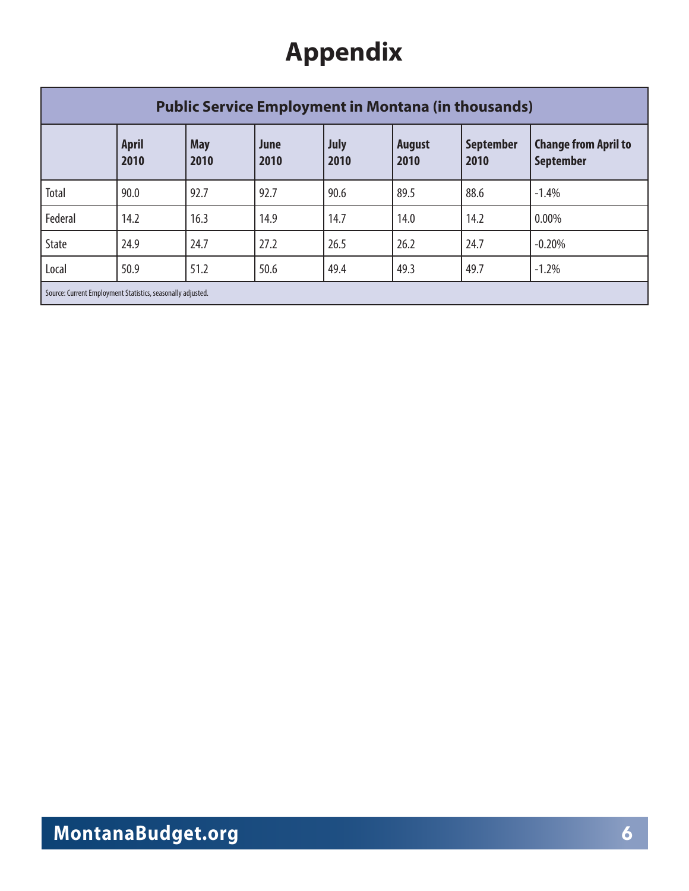# **Appendix**

| <b>Public Service Employment in Montana (in thousands)</b>  |                      |                    |              |              |                       |                          |                                                 |  |  |
|-------------------------------------------------------------|----------------------|--------------------|--------------|--------------|-----------------------|--------------------------|-------------------------------------------------|--|--|
|                                                             | <b>April</b><br>2010 | <b>May</b><br>2010 | June<br>2010 | July<br>2010 | <b>August</b><br>2010 | <b>September</b><br>2010 | <b>Change from April to</b><br><b>September</b> |  |  |
| Total                                                       | 90.0                 | 92.7               | 92.7         | 90.6         | 89.5                  | 88.6                     | $-1.4%$                                         |  |  |
| Federal                                                     | 14.2                 | 16.3               | 14.9         | 14.7         | 14.0                  | 14.2                     | 0.00%                                           |  |  |
| <b>State</b>                                                | 24.9                 | 24.7               | 27.2         | 26.5         | 26.2                  | 24.7                     | $-0.20%$                                        |  |  |
| Local                                                       | 50.9                 | 51.2               | 50.6         | 49.4         | 49.3                  | 49.7                     | $-1.2%$                                         |  |  |
| Source: Current Employment Statistics, seasonally adjusted. |                      |                    |              |              |                       |                          |                                                 |  |  |